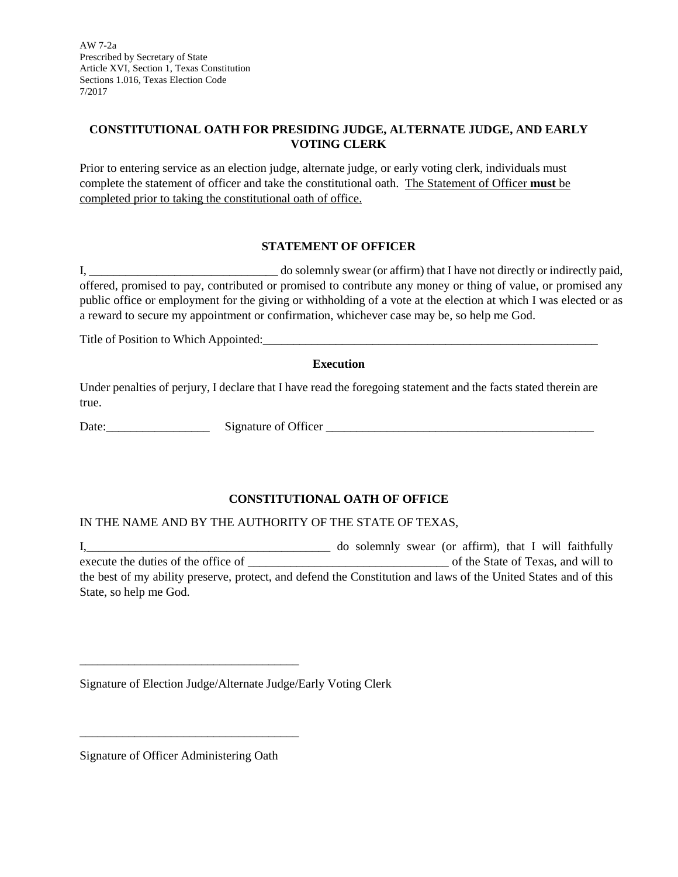AW 7-2a Prescribed by Secretary of State Article XVI, Section 1, Texas Constitution Sections 1.016, Texas Election Code 7/2017

## **CONSTITUTIONAL OATH FOR PRESIDING JUDGE, ALTERNATE JUDGE, AND EARLY VOTING CLERK**

Prior to entering service as an election judge, alternate judge, or early voting clerk, individuals must complete the statement of officer and take the constitutional oath. The Statement of Officer **must** be completed prior to taking the constitutional oath of office.

## **STATEMENT OF OFFICER**

I, the solemnly swear (or affirm) that I have not directly or indirectly paid, offered, promised to pay, contributed or promised to contribute any money or thing of value, or promised any public office or employment for the giving or withholding of a vote at the election at which I was elected or as a reward to secure my appointment or confirmation, whichever case may be, so help me God.

Title of Position to Which Appointed:

### **Execution**

Under penalties of perjury, I declare that I have read the foregoing statement and the facts stated therein are true.

Date:\_\_\_\_\_\_\_\_\_\_\_\_\_\_\_\_\_ Signature of Officer \_\_\_\_\_\_\_\_\_\_\_\_\_\_\_\_\_\_\_\_\_\_\_\_\_\_\_\_\_\_\_\_\_\_\_\_\_\_\_\_\_\_\_\_

# **CONSTITUTIONAL OATH OF OFFICE**

### IN THE NAME AND BY THE AUTHORITY OF THE STATE OF TEXAS,

I,\_\_\_\_\_\_\_\_\_\_\_\_\_\_\_\_\_\_\_\_\_\_\_\_\_\_\_\_\_\_\_\_\_\_\_\_\_\_\_\_ do solemnly swear (or affirm), that I will faithfully execute the duties of the office of \_\_\_\_\_\_\_\_\_\_\_\_\_\_\_\_\_\_\_\_\_\_\_\_\_\_\_\_\_\_\_\_\_ of the State of Texas, and will to the best of my ability preserve, protect, and defend the Constitution and laws of the United States and of this State, so help me God.

Signature of Election Judge/Alternate Judge/Early Voting Clerk

Signature of Officer Administering Oath

\_\_\_\_\_\_\_\_\_\_\_\_\_\_\_\_\_\_\_\_\_\_\_\_\_\_\_\_\_\_\_\_\_\_\_\_

\_\_\_\_\_\_\_\_\_\_\_\_\_\_\_\_\_\_\_\_\_\_\_\_\_\_\_\_\_\_\_\_\_\_\_\_